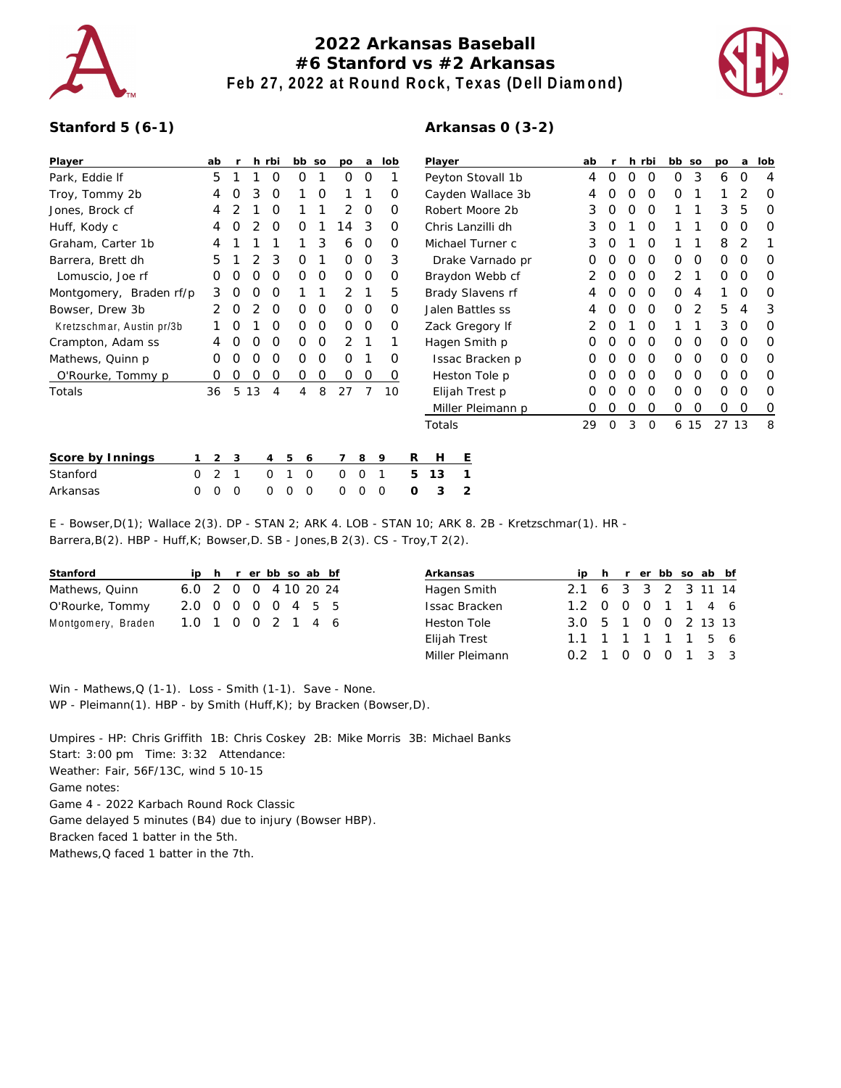

## **2022 Arkansas Baseball #6 Stanford vs #2 Arkansas Feb 27, 2022 at Round Rock, Texas (Dell Diamond)**



## **Stanford 5 (6-1)**

| Player                    |          | ab       |          |    | h rbi          |          | bb so    | po       | a        | lob      |   | Player            |   |   | ab |   |   | h rbi | bb so    |      | po       | a        | lob |
|---------------------------|----------|----------|----------|----|----------------|----------|----------|----------|----------|----------|---|-------------------|---|---|----|---|---|-------|----------|------|----------|----------|-----|
| Park, Eddie If            |          | 5        |          |    | 0              | O        |          | O        | 0        |          |   | Peyton Stovall 1b |   | 4 | 0  | 0 | 0 | 0     | 3        | 6    | 0        | 4        |     |
| Troy, Tommy 2b            |          | 4        |          | 3  | O              |          | 0        |          |          | Ο        |   | Cayden Wallace 3b |   |   |    |   | Ο | O     | 0        |      |          |          | O   |
| Jones, Brock cf           |          | 4        |          |    |                |          |          |          | $\Omega$ | O        |   | Robert Moore 2b   |   |   | 3  |   | Ο | O     |          |      | 3        | 5        | O   |
| Huff, Kody c              |          | 4        |          |    | O              | O        |          | 4        | 3        | O        |   | Chris Lanzilli dh |   |   | 3  | Ω |   | O     |          |      | 0        | O        | O   |
| Graham, Carter 1b         |          | 4        |          |    |                |          | 3        | 6        | 0        | O        |   | Michael Turner c  |   |   | 3  | O |   | 0     |          |      | 8        | 2        |     |
| Barrera, Brett dh         |          | 5        |          |    | З              | O        |          | O        | 0        | 3        |   | Drake Varnado pr  |   |   | 0  |   | O | 0     | $\Omega$ | 0    | 0        | O        | O   |
| Lomuscio, Joe rf          |          | O        | $\left($ |    | O              | 0        | 0        | O        | 0        | $\Omega$ |   | Braydon Webb cf   |   |   | 2  | O | Ο | O     | 2        |      | 0        | O        | 0   |
| Montgomery, Braden rf/p   |          | 3        |          |    | Ο              |          |          | 2        |          | 5        |   | Brady Slavens rf  |   |   |    |   | Ο | O     | 0        | 4    |          | O        | O   |
| Bowser, Drew 3b           |          | 2        | O        |    | O              | 0        | 0        | $\Omega$ | 0        | $\Omega$ |   | Jalen Battles ss  |   |   |    | Ο | 0 | 0     | 2        | 5    | 4        | 3        |     |
| Kretzschmar, Austin pr/3b |          |          |          |    | O              | 0        | 0        | O        | $\circ$  | $\Omega$ |   | Zack Gregory If   |   |   |    | O |   | 0     |          |      | 3        | $\Omega$ | 0   |
| Crampton, Adam ss         |          | 4        | O        |    | 0              | 0        | 0        | 2        |          |          |   | Hagen Smith p     |   |   | O  |   | O | 0     | $\Omega$ | 0    | 0        | O        | O   |
| Mathews, Quinn p          |          | O        |          |    | O              | 0        | 0        | $\Omega$ |          | O        |   | Issac Bracken p   |   |   | O  |   | Ο | 0     | 0        | 0    | $\Omega$ | O        | 0   |
| O'Rourke, Tommy p         |          | O        | O        |    | O              | 0        | 0        | $\Omega$ | 0        | 0        |   | Heston Tole p     |   |   |    |   | Ο | O     | 0        | 0    | 0        | O        | O   |
| Totals                    |          | 36       | 5        | 13 | 4              | 4        | 8        | 27       |          | 10       |   | Elijah Trest p    |   |   | Ο  |   | Ο | 0     | $\Omega$ | 0    | O        | O        | O   |
|                           |          |          |          |    |                |          |          |          |          |          |   | Miller Pleimann p |   | 0 | O  | Ο | 0 | 0     | 0        | O    | 0        | 0        |     |
|                           |          |          |          |    |                |          |          |          |          |          |   | Totals            |   |   | 29 | 0 | 3 | 0     |          | 6 15 | 27 13    |          | 8   |
| Score by Innings          |          | 2        | 3        |    | $\overline{4}$ | 5        | 6        |          | 8        | 9        | R | H                 | Ε |   |    |   |   |       |          |      |          |          |     |
| Stanford                  | $\Omega$ | 2        | 1        |    | $\mathbf 0$    |          | 0        | 0        | 0        | 1        | 5 | 13                |   |   |    |   |   |       |          |      |          |          |     |
| Arkansas                  | $\Omega$ | $\Omega$ | $\Omega$ |    | $\Omega$       | $\Omega$ | $\Omega$ | $\Omega$ | $\Omega$ | $\Omega$ | Ω | 3                 | 2 |   |    |   |   |       |          |      |          |          |     |

E - Bowser, D(1); Wallace 2(3). DP - STAN 2; ARK 4. LOB - STAN 16 Barrera, B(2). HBP - Huff, K; Bowser, D. SB - Jones, B 2(3). CS - Troy

| Stanford           |                      |  |  | ip h r er bb so ab bf |  |
|--------------------|----------------------|--|--|-----------------------|--|
| Mathews, Quinn     | 6.0 2 0 0 4 10 20 24 |  |  |                       |  |
| O'Rourke, Tommy    | 2.0 0 0 0 0 4 5 5    |  |  |                       |  |
| Montgomery, Braden | 1.0 1 0 0 2 1 4 6    |  |  |                       |  |

| Arkansas             |                     |  |  | ip h r er bb so ab bf |  |
|----------------------|---------------------|--|--|-----------------------|--|
| Hagen Smith          | 2.1 6 3 3 2 3 11 14 |  |  |                       |  |
| <b>Issac Bracken</b> | 1.2 0 0 0 1 1 4 6   |  |  |                       |  |
| Heston Tole          | 3.0 5 1 0 0 2 13 13 |  |  |                       |  |
| Elijah Trest         | 1.1 1 1 1 1 1 5 6   |  |  |                       |  |
| Miller Pleimann      | 0.2 1 0 0 0 1 3 3   |  |  |                       |  |
|                      |                     |  |  |                       |  |

Win - Mathews, Q (1-1). Loss - Smith (1-1). Save - None. WP - Pleimann(1). HBP - by Smith (Huff, K); by Bracken (Bowser, D).

Umpires - HP: Chris Griffith 1B: Chris Coskey 2B: Mike Morris 3B: Michael Banks Start: 3:00 pm Time: 3:32 Attendance: Weather: Fair, 56F/13C, wind 5 10-15 Game notes: Game 4 - 2022 Karbach Round Rock Classic Game delayed 5 minutes (B4) due to injury (Bowser HBP). Bracken faced 1 batter in the 5th. Mathews,Q faced 1 batter in the 7th.

## **Arkansas 0 (3-2)**

| Elijah Trest p                                  | O   | Ω | $\left( \right)$ | Ω  |   | 0        | Ω    | Ω     | O | 0 |
|-------------------------------------------------|-----|---|------------------|----|---|----------|------|-------|---|---|
| Miller Pleimann p                               | O   | Ο | Ο                | 0  |   | 0        | Ο    | 0     | 0 | 0 |
| Totals                                          | 29  | 0 | 3                | 0  |   | 6 15     |      | 27 13 |   | 8 |
| н<br>E                                          |     |   |                  |    |   |          |      |       |   |   |
| 13<br>1                                         |     |   |                  |    |   |          |      |       |   |   |
| 3<br>2                                          |     |   |                  |    |   |          |      |       |   |   |
| 0; ARK 8. 2B - Kretzschmar(1). HR -<br>,T 2(2). |     |   |                  |    |   |          |      |       |   |   |
| Arkansas                                        | ip  | h | r                | er |   | bb so ab |      | bf    |   |   |
| Hagen Smith                                     | 2.1 | 6 | 3                | 3  | 2 |          | 3 11 | 14    |   |   |
| <b>Issac Bracken</b>                            | 1.2 | O | Ο                | 0  | 1 | 1        | 4    | 6     |   |   |
| <b>Heston Tole</b>                              | 3.0 | 5 | 1                | O  | O | 2        |      | 13 13 |   |   |
| <b>Elijah Trest</b>                             | 1.1 | 1 | 1                | 1  | 1 | 1        | 5    | 6     |   |   |